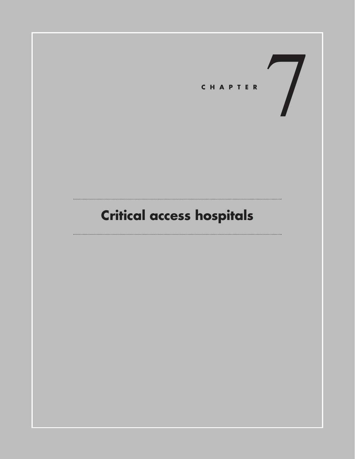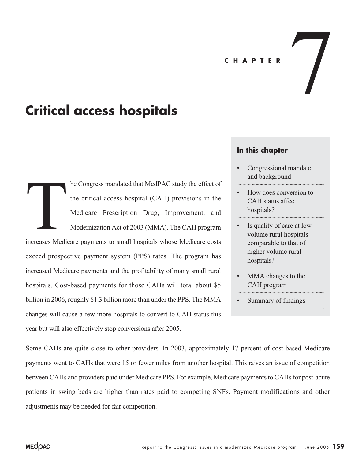#### **CHAPTER**

# **Critical access hospitals**

he Congress mandated that MedPAC study the effect of the critical access hospital (CAH) provisions in the Medicare Prescription Drug, Improvement, and Modernization Act of 2003 (MMA). The CAH program increases Medicare payments to small hospitals whose Medicare costs exceed prospective payment system (PPS) rates. The program has increased Medicare payments and the profitability of many small rural hospitals. Cost-based payments for those CAHs will total about \$5 billion in 2006, roughly \$1.3 billion more than under the PPS. The MMA changes will cause a few more hospitals to convert to CAH status this year but will also effectively stop conversions after 2005. Maria Contractor Nedictor

## **In this chapter**

• Congressional mandate and background

 $\frac{1}{\sqrt{2}}$ 

- How does conversion to CAH status affect hospitals?
- Is quality of care at lowvolume rural hospitals comparable to that of higher volume rural hospitals?
- MMA changes to the CAH program
- Summary of findings

Some CAHs are quite close to other providers. In 2003, approximately 17 percent of cost-based Medicare payments went to CAHs that were 15 or fewer miles from another hospital. This raises an issue of competition between CAHs and providers paid under Medicare PPS. For example, Medicare payments to CAHs for post-acute patients in swing beds are higher than rates paid to competing SNFs. Payment modifications and other adjustments may be needed for fair competition.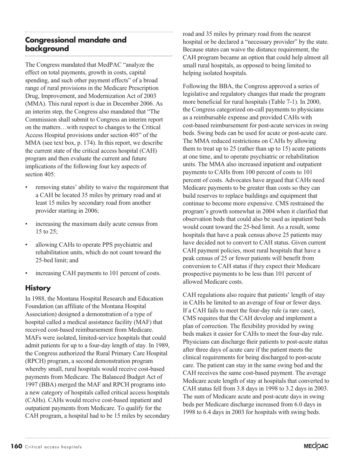## **Congressional mandate and background**

The Congress mandated that MedPAC "analyze the effect on total payments, growth in costs, capital spending, and such other payment effects" of a broad range of rural provisions in the Medicare Prescription Drug, Improvement, and Modernization Act of 2003 (MMA). This rural report is due in December 2006. As an interim step, the Congress also mandated that "The Commission shall submit to Congress an interim report on the matters…with respect to changes to the Critical Access Hospital provisions under section 405" of the MMA (see text box, p. 174). In this report, we describe the current state of the critical access hospital (CAH) program and then evaluate the current and future implications of the following four key aspects of section 405:

- removing states' ability to waive the requirement that a CAH be located 35 miles by primary road and at least 15 miles by secondary road from another provider starting in 2006;
- increasing the maximum daily acute census from 15 to 25;
- allowing CAHs to operate PPS psychiatric and rehabilitation units, which do not count toward the 25-bed limit; and
- increasing CAH payments to 101 percent of costs.

## **History**

In 1988, the Montana Hospital Research and Education Foundation (an affiliate of the Montana Hospital Association) designed a demonstration of a type of hospital called a medical assistance facility (MAF) that received cost-based reimbursement from Medicare. MAFs were isolated, limited-service hospitals that could admit patients for up to a four-day length of stay. In 1989, the Congress authorized the Rural Primary Care Hospital (RPCH) program, a second demonstration program whereby small, rural hospitals would receive cost-based payments from Medicare. The Balanced Budget Act of 1997 (BBA) merged the MAF and RPCH programs into a new category of hospitals called critical access hospitals (CAHs). CAHs would receive cost-based inpatient and outpatient payments from Medicare. To qualify for the CAH program, a hospital had to be 15 miles by secondary

road and 35 miles by primary road from the nearest hospital or be declared a "necessary provider" by the state. Because states can waive the distance requirement, the CAH program became an option that could help almost all small rural hospitals, as opposed to being limited to helping isolated hospitals.

Following the BBA, the Congress approved a series of legislative and regulatory changes that made the program more beneficial for rural hospitals (Table 7-1). In 2000, the Congress categorized on-call payments to physicians as a reimbursable expense and provided CAHs with cost-based reimbursement for post-acute services in swing beds. Swing beds can be used for acute or post-acute care. The MMA reduced restrictions on CAHs by allowing them to treat up to 25 (rather than up to 15) acute patients at one time, and to operate psychiatric or rehabilitation units. The MMA also increased inpatient and outpatient payments to CAHs from 100 percent of costs to 101 percent of costs. Advocates have argued that CAHs need Medicare payments to be greater than costs so they can build reserves to replace buildings and equipment that continue to become more expensive. CMS restrained the program's growth somewhat in 2004 when it clarified that observation beds that could also be used as inpatient beds would count toward the 25-bed limit. As a result, some hospitals that have a peak census above 25 patients may have decided not to convert to CAH status. Given current CAH payment policies, most rural hospitals that have a peak census of 25 or fewer patients will benefit from conversion to CAH status if they expect their Medicare prospective payments to be less than 101 percent of allowed Medicare costs.

CAH regulations also require that patients' length of stay in CAHs be limited to an average of four or fewer days. If a CAH fails to meet the four-day rule (a rare case), CMS requires that the CAH develop and implement a plan of correction. The flexibility provided by swing beds makes it easier for CAHs to meet the four-day rule. Physicians can discharge their patients to post-acute status after three days of acute care if the patient meets the clinical requirements for being discharged to post-acute care. The patient can stay in the same swing bed and the CAH receives the same cost-based payment. The average Medicare acute length of stay at hospitals that converted to CAH status fell from 3.8 days in 1998 to 3.2 days in 2003. The sum of Medicare acute and post-acute days in swing beds per Medicare discharge increased from 6.0 days in 1998 to 6.4 days in 2003 for hospitals with swing beds.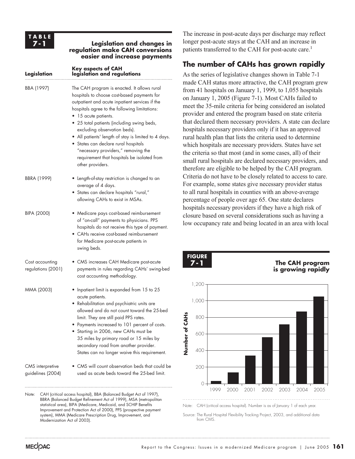

#### **Legislation and changes in regulation make CAH conversions easier and increase payments**

| Legislation                           | <b>Key aspects of CAH</b><br>legislation and regulations                                                                                                                                                                                                                                                                                                                                                                                                                                                      |
|---------------------------------------|---------------------------------------------------------------------------------------------------------------------------------------------------------------------------------------------------------------------------------------------------------------------------------------------------------------------------------------------------------------------------------------------------------------------------------------------------------------------------------------------------------------|
| BBA (1997)                            | The CAH program is enacted. It allows rural<br>hospitals to choose cost-based payments for<br>outpatient and acute inpatient services if the<br>hospitals agree to the following limitations:<br>• 15 acute patients.<br>• 25 total patients (including swing beds,<br>excluding observation beds).<br>• All patients' length of stay is limited to 4 days.<br>· States can declare rural hospitals<br>"necessary providers," removing the<br>requirement that hospitals be isolated from<br>other providers. |
| BBRA (1999)                           | $\bullet$ Length-of-stay restriction is changed to an<br>average of 4 days.<br>• States can declare hospitals "rural,"<br>allowing CAHs to exist in MSAs.                                                                                                                                                                                                                                                                                                                                                     |
| BIPA (2000)                           | • Medicare pays cost-based reimbursement<br>of "on-call" payments to physicians. PPS<br>hospitals do not receive this type of payment.<br>• CAHs receive cost-based reimbursement<br>for Medicare post-acute patients in<br>swing beds.                                                                                                                                                                                                                                                                       |
| Cost accounting<br>regulations (2001) | • CMS increases CAH Medicare post-acute<br>payments in rules regarding CAHs' swing-bed<br>cost accounting methodology.                                                                                                                                                                                                                                                                                                                                                                                        |
| MMA (2003)                            | $\bullet$ Inpatient limit is expanded from 15 to 25 $\,$<br>acute patients.<br>• Rehabilitation and psychiatric units are<br>allowed and do not count toward the 25-bed<br>limit. They are still paid PPS rates.<br>Payments increased to 101 percent of costs.<br>• Starting in 2006, new CAHs must be<br>35 miles by primary road or 15 miles by<br>secondary road from another provider.<br>States can no longer waive this requirement.                                                                   |
| CMS interpretive<br>guidelines (2004) | CMS will count observation beds that could be<br>used as acute beds toward the 25-bed limit.                                                                                                                                                                                                                                                                                                                                                                                                                  |

Note: CAH (critical access hospital), BBA (Balanced Budget Act of 1997), BBRA (Balanced Budget Refinement Act of 1999), MSA (metropolitan statistical area), BIPA (Medicare, Medicaid, and SCHIP Benefits Improvement and Protection Act of 2000), PPS (prospective payment system), MMA (Medicare Prescription Drug, Improvement, and Modernization Act of 2003).

The increase in post-acute days per discharge may reflect longer post-acute stays at the CAH and an increase in patients transferred to the CAH for post-acute care.<sup>1</sup>

## **The number of CAHs has grown rapidly**

As the series of legislative changes shown in Table 7-1 made CAH status more attractive, the CAH program grew from 41 hospitals on January 1, 1999, to 1,055 hospitals on January 1, 2005 (Figure 7-1). Most CAHs failed to meet the 35-mile criteria for being considered an isolated provider and entered the program based on state criteria that declared them necessary providers. A state can declare hospitals necessary providers only if it has an approved rural health plan that lists the criteria used to determine which hospitals are necessary providers. States have set the criteria so that most (and in some cases, all) of their small rural hospitals are declared necessary providers, and therefore are eligible to be helped by the CAH program. Criteria do not have to be closely related to access to care. For example, some states give necessary provider status to all rural hospitals in counties with an above-average percentage of people over age 65. One state declares hospitals necessary providers if they have a high risk of closure based on several considerations such as having a low occupancy rate and being located in an area with local

#### **FIGURE 7-1**





Note: CAH (critical access hospital). Number is as of January 1 of each year.

Source: The Rural Hospital Flexibility Tracking Project, 2003, and additional data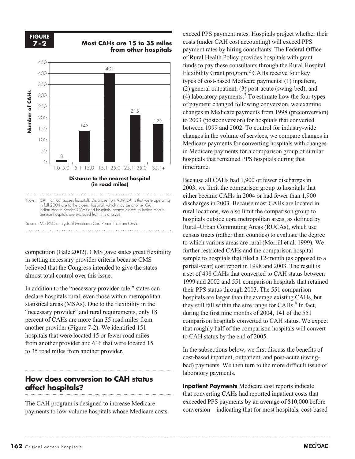**FIGURE 7-2**





 Indian Health Service CAHs and hospitals located closest to Indian Health Service hospitals are excluded from this analysis.

competition (Gale 2002). CMS gave states great flexibility in setting necessary provider criteria because CMS believed that the Congress intended to give the states almost total control over this issue.

In addition to the "necessary provider rule," states can declare hospitals rural, even those within metropolitan statistical areas (MSAs). Due to the flexibility in the "necessary provider" and rural requirements, only 18 percent of CAHs are more than 35 road miles from another provider (Figure 7-2). We identified 151 hospitals that were located 15 or fewer road miles from another provider and 616 that were located 15 to 35 road miles from another provider.

## **How does conversion to CAH status affect hospitals?**

The CAH program is designed to increase Medicare payments to low-volume hospitals whose Medicare costs

exceed PPS payment rates. Hospitals project whether their costs (under CAH cost accounting) will exceed PPS payment rates by hiring consultants. The Federal Office of Rural Health Policy provides hospitals with grant funds to pay these consultants through the Rural Hospital Flexibility Grant program.2 CAHs receive four key types of cost-based Medicare payments: (1) inpatient, (2) general outpatient, (3) post-acute (swing-bed), and (4) laboratory payments.<sup>3</sup> To estimate how the four types of payment changed following conversion, we examine changes in Medicare payments from 1998 (preconversion) to 2003 (postconversion) for hospitals that converted between 1999 and 2002. To control for industry-wide changes in the volume of services, we compare changes in Medicare payments for converting hospitals with changes in Medicare payments for a comparison group of similar hospitals that remained PPS hospitals during that timeframe.

Because all CAHs had 1,900 or fewer discharges in 2003, we limit the comparison group to hospitals that either became CAHs in 2004 or had fewer than 1,900 discharges in 2003. Because most CAHs are located in rural locations, we also limit the comparison group to hospitals outside core metropolitan areas, as defined by Rural–Urban Commuting Areas (RUCAs), which use census tracts (rather than counties) to evaluate the degree to which various areas are rural (Morrill et al. 1999). We further restricted CAHs and the comparison hospital sample to hospitals that filed a 12-month (as opposed to a partial-year) cost report in 1998 and 2003. The result is a set of 498 CAHs that converted to CAH status between 1999 and 2002 and 551 comparison hospitals that retained their PPS status through 2003. The 551 comparison hospitals are larger than the average existing CAHs, but they still fall within the size range for  $CAHs<sup>4</sup>$  In fact, during the first nine months of 2004, 141 of the 551 comparison hospitals converted to CAH status. We expect that roughly half of the comparison hospitals will convert to CAH status by the end of 2005.

In the subsections below, we first discuss the benefits of cost-based inpatient, outpatient, and post-acute (swingbed) payments. We then turn to the more difficult issue of laboratory payments.

**Inpatient Payments** Medicare cost reports indicate that converting CAHs had reported inpatient costs that exceeded PPS payments by an average of \$10,000 before conversion—indicating that for most hospitals, cost-based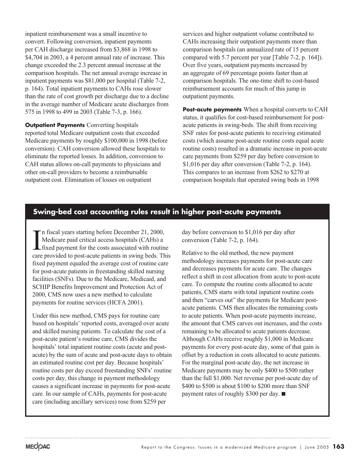inpatient reimbursement was a small incentive to convert. Following conversion, inpatient payments per CAH discharge increased from \$3,868 in 1998 to \$4,704 in 2003, a 4 percent annual rate of increase. This change exceeded the 2.3 percent annual increase at the comparison hospitals. The net annual average increase in inpatient payments was \$81,000 per hospital (Table 7-2, p. 164). Total inpatient payments to CAHs rose slower than the rate of cost growth per discharge due to a decline in the average number of Medicare acute discharges from 575 in 1998 to 499 in 2003 (Table 7-3, p. 166).

**Outpatient Payments** Converting hospitals reported total Medicare outpatient costs that exceeded Medicare payments by roughly \$100,000 in 1998 (before conversion). CAH conversion allowed these hospitals to eliminate the reported losses. In addition, conversion to CAH status allows on-call payments to physicians and other on-call providers to become a reimbursable outpatient cost. Elimination of losses on outpatient

services and higher outpatient volume contributed to CAHs increasing their outpatient payments more than comparison hospitals (an annualized rate of 15 percent compared with 5.7 percent per year [Table 7-2, p. 164]). Over five years, outpatient payments increased by an aggregate of 69 percentage points faster than at comparison hospitals. The one-time shift to cost-based reimbursement accounts for much of this jump in outpatient payments.

**Post-acute payments** When a hospital converts to CAH status, it qualifies for cost-based reimbursement for postacute patients in swing-beds. The shift from receiving SNF rates for post-acute patients to receiving estimated costs (which assume post-acute routine costs equal acute routine costs) resulted in a dramatic increase in post-acute care payments from \$259 per day before conversion to \$1,016 per day after conversion (Table 7-2, p. 164). This compares to an increase from \$262 to \$270 at comparison hospitals that operated swing beds in 1998

## **Swing-bed cost accounting rules result in higher post-acute payments**

<sup>1</sup> n fiscal years starting before December 21, 2000, Medicare paid critical access hospitals (CAHs) a fixed payment for the costs associated with routine care provided to post-acute patients in swing beds. This fixed payment equaled the average cost of routine care for post-acute patients in freestanding skilled nursing facilities (SNFs). Due to the Medicare, Medicaid, and SCHIP Benefits Improvement and Protection Act of 2000, CMS now uses a new method to calculate payments for routine services (HCFA 2001).

Under this new method, CMS pays for routine care based on hospitals' reported costs, averaged over acute and skilled nursing patients. To calculate the cost of a post-acute patient's routine care, CMS divides the hospitals' total inpatient routine costs (acute and postacute) by the sum of acute and post-acute days to obtain an estimated routine cost per day. Because hospitals' routine costs per day exceed freestanding SNFs' routine costs per day, this change in payment methodology causes a significant increase in payments for post-acute care. In our sample of CAHs, payments for post-acute care (including ancillary services) rose from \$259 per

day before conversion to \$1,016 per day after conversion (Table 7-2, p. 164).

Relative to the old method, the new payment methodology increases payments for post-acute care and decreases payments for acute care. The changes reflect a shift in cost allocation from acute to post-acute care. To compute the routine costs allocated to acute patients, CMS starts with total inpatient routine costs and then "carves out" the payments for Medicare postacute patients. CMS then allocates the remaining costs to acute patients. When post-acute payments increase, the amount that CMS carves out increases, and the costs remaining to be allocated to acute patients decrease. Although CAHs receive roughly \$1,000 in Medicare payments for every post-acute day, some of that gain is offset by a reduction in costs allocated to acute patients. For the marginal post-acute day, the net increase in Medicare payments may be only \$400 to \$500 rather than the full \$1,000. Net revenue per post-acute day of \$400 to \$500 is about \$100 to \$200 more than SNF payment rates of roughly \$300 per day.  $\blacksquare$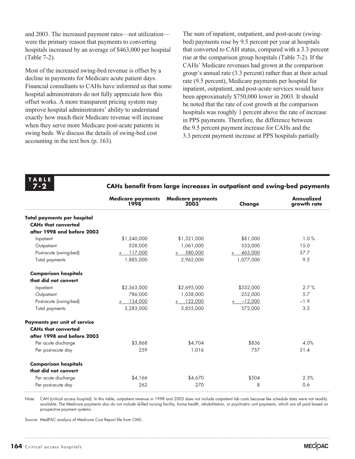and 2003. The increased payment rates—not utilization were the primary reason that payments to converting hospitals increased by an average of \$463,000 per hospital (Table 7-2).

Most of the increased swing-bed revenue is offset by a decline in payments for Medicare acute patient days. Financial consultants to CAHs have informed us that some hospital administrators do not fully appreciate how this offset works. A more transparent pricing system may improve hospital administrators' ability to understand exactly how much their Medicare revenue will increase when they serve more Medicare post-acute patients in swing beds. We discuss the details of swing-bed cost accounting in the text box (p. 163).

The sum of inpatient, outpatient, and post-acute (swingbed) payments rose by 9.5 percent per year at hospitals that converted to CAH status, compared with a 3.3 percent rise at the comparison group hospitals (Table 7-2). If the CAHs' Medicare revenues had grown at the comparison group's annual rate (3.3 percent) rather than at their actual rate (9.5 percent), Medicare payments per hospital for inpatient, outpatient, and post-acute services would have been approximately \$750,000 lower in 2003. It should be noted that the rate of cost growth at the comparison hospitals was roughly 1 percent above the rate of increase in PPS payments. Therefore, the difference between the 9.5 percent payment increase for CAHs and the 3.3 percent payment increase at PPS hospitals partially

**TABLE 7-2**

**CAHs benefit from large increases in outpatient and swing-bed payments** 

|                                     | <b>Medicare payments</b><br>1998 | <b>Medicare payments</b><br>2003 | Change         | <b>Annualized</b><br>growth rate |
|-------------------------------------|----------------------------------|----------------------------------|----------------|----------------------------------|
| <b>Total payments per hospital</b>  |                                  |                                  |                |                                  |
| <b>CAHs that converted</b>          |                                  |                                  |                |                                  |
| after 1998 and before 2003          |                                  |                                  |                |                                  |
| Inpatient                           | \$1,240,000                      | \$1,321,000                      | \$81,000       | 1.0%                             |
| Outpatient                          | 528,000                          | 1,061,000                        | 533,000        | 15.0                             |
| Post-acute (swing-bed)              | 117,000<br>$+$                   | 580,000<br>$+$                   | 463,000<br>$+$ | 37.7                             |
| Total payments                      | 1,885,000                        | 2,962,000                        | 1,077,000      | 9.5                              |
| <b>Comparison hospitals</b>         |                                  |                                  |                |                                  |
| that did not convert                |                                  |                                  |                |                                  |
| Inpatient                           | \$2,363,000                      | \$2,695,000                      | \$332,000      | 2.7%                             |
| Outpatient                          | 786,000                          | 1,038,000                        | 252,000        | 5.7                              |
| Post-acute (swing-bed)              | $+ 134,000$                      | $+ 122,000$                      | $+ -12,000$    | $-1.9$                           |
| Total payments                      | 3,283,000                        | 3,855,000                        | 572,000        | 3.3                              |
| <b>Payments per unit of service</b> |                                  |                                  |                |                                  |
| <b>CAHs that converted</b>          |                                  |                                  |                |                                  |
| after 1998 and before 2003          |                                  |                                  |                |                                  |
| Per acute discharge                 | \$3,868                          | \$4.704                          | \$836          | 4.0%                             |
| Per post-acute day                  | 259                              | 1,016                            | 757            | 31.4                             |
| <b>Comparison hospitals</b>         |                                  |                                  |                |                                  |
| that did not convert                |                                  |                                  |                |                                  |
| Per acute discharge                 | \$4,166                          | \$4,670                          | \$504          | 2.3%                             |
| Per post-acute day                  | 262                              | 270                              | 8              | 0.6                              |

Note: CAH (critical access hospital). In this table, outpatient revenue in 1998 and 2003 does not include outpatient lab costs because fee schedule data were not readily available. The Medicare payments also do not include skilled nursing facility, home health, rehabilitation, or psychiatric unit payments, which are all paid based on prospective payment systems.

Source: MedPAC analysis of Medicare Cost Report file from CMS.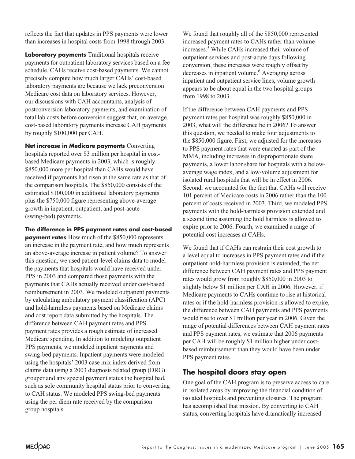reflects the fact that updates in PPS payments were lower than increases in hospital costs from 1998 through 2003.

**Laboratory payments** Traditional hospitals receive payments for outpatient laboratory services based on a fee schedule. CAHs receive cost-based payments. We cannot precisely compute how much larger CAHs' cost-based laboratory payments are because we lack preconversion Medicare cost data on laboratory services. However, our discussions with CAH accountants, analysis of postconversion laboratory payments, and examination of total lab costs before conversion suggest that, on average, cost-based laboratory payments increase CAH payments by roughly \$100,000 per CAH.

**Net increase in Medicare payments** Converting hospitals reported over \$3 million per hospital in costbased Medicare payments in 2003, which is roughly \$850,000 more per hospital than CAHs would have received if payments had risen at the same rate as that of the comparison hospitals. The \$850,000 consists of the estimated \$100,000 in additional laboratory payments plus the \$750,000 figure representing above-average growth in inpatient, outpatient, and post-acute (swing-bed) payments.

**The difference in PPS payment rates and cost-based payment rates** How much of the \$850,000 represents an increase in the payment rate, and how much represents an above-average increase in patient volume? To answer this question, we used patient-level claims data to model the payments that hospitals would have received under PPS in 2003 and compared those payments with the payments that CAHs actually received under cost-based reimbursement in 2003. We modeled outpatient payments by calculating ambulatory payment classification (APC) and hold-harmless payments based on Medicare claims and cost report data submitted by the hospitals. The difference between CAH payment rates and PPS payment rates provides a rough estimate of increased Medicare spending. In addition to modeling outpatient PPS payments, we modeled inpatient payments and swing-bed payments. Inpatient payments were modeled using the hospitals' 2003 case mix index derived from claims data using a 2003 diagnosis related group (DRG) grouper and any special payment status the hospital had, such as sole community hospital status prior to converting to CAH status. We modeled PPS swing-bed payments using the per diem rate received by the comparison group hospitals.

We found that roughly all of the \$850,000 represented increased payment rates to CAHs rather than volume increases.5 While CAHs increased their volume of outpatient services and post-acute days following conversion, these increases were roughly offset by decreases in inpatient volume.<sup>6</sup> Averaging across inpatient and outpatient service lines, volume growth appears to be about equal in the two hospital groups from 1998 to 2003.

If the difference between CAH payments and PPS payment rates per hospital was roughly \$850,000 in 2003, what will the difference be in 2006? To answer this question, we needed to make four adjustments to the \$850,000 figure. First, we adjusted for the increases to PPS payment rates that were enacted as part of the MMA, including increases in disproportionate share payments, a lower labor share for hospitals with a belowaverage wage index, and a low-volume adjustment for isolated rural hospitals that will be in effect in 2006. Second, we accounted for the fact that CAHs will receive 101 percent of Medicare costs in 2006 rather than the 100 percent of costs received in 2003. Third, we modeled PPS payments with the hold-harmless provision extended and a second time assuming the hold harmless is allowed to expire prior to 2006. Fourth, we examined a range of potential cost increases at CAHs.

We found that if CAHs can restrain their cost growth to a level equal to increases in PPS payment rates and if the outpatient hold-harmless provision is extended, the net difference between CAH payment rates and PPS payment rates would grow from roughly \$850,000 in 2003 to slightly below \$1 million per CAH in 2006. However, if Medicare payments to CAHs continue to rise at historical rates or if the hold-harmless provision is allowed to expire, the difference between CAH payments and PPS payments would rise to over \$1 million per year in 2006. Given the range of potential differences between CAH payment rates and PPS payment rates, we estimate that 2006 payments per CAH will be roughly \$1 million higher under costbased reimbursement than they would have been under PPS payment rates.

## **The hospital doors stay open**

One goal of the CAH program is to preserve access to care in isolated areas by improving the financial condition of isolated hospitals and preventing closures. The program has accomplished that mission. By converting to CAH status, converting hospitals have dramatically increased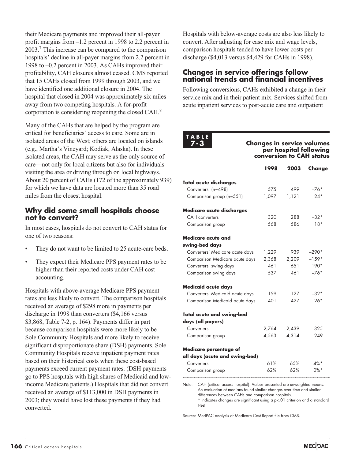their Medicare payments and improved their all-payer profit margins from –1.2 percent in 1998 to 2.2 percent in 2003.7 This increase can be compared to the comparison hospitals' decline in all-payer margins from 2.2 percent in 1998 to –0.2 percent in 2003. As CAHs improved their profitability, CAH closures almost ceased. CMS reported that 15 CAHs closed from 1999 through 2003, and we have identified one additional closure in 2004. The hospital that closed in 2004 was approximately six miles away from two competing hospitals. A for-profit corporation is considering reopening the closed CAH.8

Many of the CAHs that are helped by the program are critical for beneficiaries' access to care. Some are in isolated areas of the West; others are located on islands (e.g., Martha's Vineyard; Kodiak, Alaska). In these isolated areas, the CAH may serve as the only source of care—not only for local citizens but also for individuals visiting the area or driving through on local highways. About 20 percent of CAHs (172 of the approximately 939) for which we have data are located more than 35 road miles from the closest hospital.

#### **Why did some small hospitals choose not to convert?**

In most cases, hospitals do not convert to CAH status for one of two reasons:

- They do not want to be limited to 25 acute-care beds.
- They expect their Medicare PPS payment rates to be higher than their reported costs under CAH cost accounting.

Hospitals with above-average Medicare PPS payment rates are less likely to convert. The comparison hospitals received an average of \$298 more in payments per discharge in 1998 than converters (\$4,166 versus \$3,868, Table 7-2, p. 164). Payments differ in part because comparison hospitals were more likely to be Sole Community Hospitals and more likely to receive significant disproportionate share (DSH) payments. Sole Community Hospitals receive inpatient payment rates based on their historical costs when these cost-based payments exceed current payment rates. (DSH payments go to PPS hospitals with high shares of Medicaid and lowincome Medicare patients.) Hospitals that did not convert received an average of \$113,000 in DSH payments in 2003; they would have lost these payments if they had converted.

Hospitals with below-average costs are also less likely to convert. After adjusting for case mix and wage levels, comparison hospitals tended to have lower costs per discharge (\$4,013 versus \$4,429 for CAHs in 1998).

### **Changes in service offerings follow national trends and financial incentives**

Following conversions, CAHs exhibited a change in their service mix and in their patient mix. Services shifted from acute inpatient services to post-acute care and outpatient

**TABLE 7-3**

**Changes in service volumes per hospital following conversion to CAH status**

|                                                                                 | 1998  | 2003  | Change  |
|---------------------------------------------------------------------------------|-------|-------|---------|
| <b>Total acute discharges</b>                                                   |       |       |         |
| Converters (n=498)                                                              | 575   | 499   | -76*    |
| Comparison group (n=551)                                                        | 1,097 | 1,121 | $24*$   |
| Medicare acute discharges                                                       |       |       |         |
| <b>CAH</b> converters                                                           | 320   | 288   | $-32*$  |
| Comparison group                                                                | 568   | 586   | $18*$   |
| Medicare acute and                                                              |       |       |         |
| swing-bed days                                                                  |       |       |         |
| Converters' Medicare acute days                                                 | 1,229 | 939   | -290*   |
| Comparison Medicare acute days                                                  | 2,368 | 2,209 | $-159*$ |
| Converters' swing days                                                          | 461   | 6.51  | $190*$  |
| Comparison swing days                                                           | 537   | 461   | $-76*$  |
| Medicaid acute days                                                             |       |       |         |
| Converters' Medicaid acute days                                                 | 159   | 127   | -32*    |
| Comparison Medicaid acute days                                                  | 401   | 427   | $26*$   |
| <b>Total acute and swing-bed</b>                                                |       |       |         |
| days (all payers)                                                               |       |       |         |
| Converters                                                                      | 2,764 | 2,439 | $-325$  |
| Comparison group                                                                | 4,563 | 4,314 | $-249$  |
| Medicare percentage of                                                          |       |       |         |
| all days (acute and swing-bed)                                                  |       |       |         |
| Converters                                                                      | 61%   | 65%   | $4\%$ * |
| Comparison group                                                                | 62%   | 62%   | $0\%$ * |
| CAH (critical access hospital). Values presented are unweighted means.<br>Note: |       |       |         |

Note: CAH (critical access hospital). Values presented are unweighted means. An evaluation of medians found similar changes over time and similar differences between CAHs and comparison hospitals. \* Indicates changes are significant using a p<.01 criterion and a standard t-test.

Source: MedPAC analysis of Medicare Cost Report file from CMS.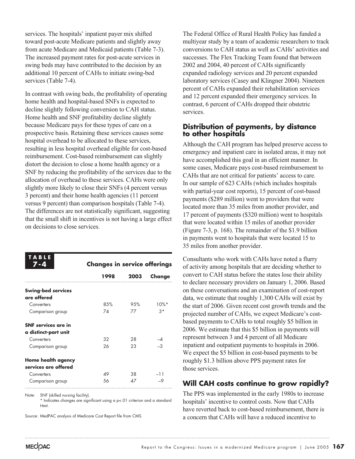services. The hospitals' inpatient payer mix shifted toward post-acute Medicare patients and slightly away from acute Medicare and Medicaid patients (Table 7-3). The increased payment rates for post-acute services in swing beds may have contributed to the decision by an additional 10 percent of CAHs to initiate swing-bed services (Table 7-4).

In contrast with swing beds, the profitability of operating home health and hospital-based SNFs is expected to decline slightly following conversion to CAH status. Home health and SNF profitability decline slightly because Medicare pays for these types of care on a prospective basis. Retaining these services causes some hospital overhead to be allocated to these services, resulting in less hospital overhead eligible for cost-based reimbursement. Cost-based reimbursement can slightly distort the decision to close a home health agency or a SNF by reducing the profitability of the services due to the allocation of overhead to these services. CAHs were only slightly more likely to close their SNFs (4 percent versus 3 percent) and their home health agencies (11 percent versus 9 percent) than comparison hospitals (Table 7-4). The differences are not statistically significant, suggesting that the small shift in incentives is not having a large effect on decisions to close services.

| ABLE<br>7 - 4              | <b>Changes in service offerings</b> |      |                          |  |
|----------------------------|-------------------------------------|------|--------------------------|--|
|                            | 1998                                | 2003 | Change                   |  |
| <b>Swing-bed services</b>  |                                     |      |                          |  |
| are offered                |                                     |      |                          |  |
| Converters                 | 85%                                 | 95%  | $10\%$ *                 |  |
| Comparison group           | 7Δ                                  | 77   | 3*                       |  |
| <b>SNF</b> services are in |                                     |      |                          |  |
| a distinct-part unit       |                                     |      |                          |  |
| Converters                 | 32                                  | 28   |                          |  |
| Comparison group           | 26                                  | 23   |                          |  |
| Home health agency         |                                     |      |                          |  |
| services are offered       |                                     |      |                          |  |
| Converters                 | 49                                  | 38   | -11                      |  |
| Comparison group           | 56                                  | Δ7   | $\overline{\phantom{0}}$ |  |
|                            |                                     |      |                          |  |

Note: SNF (skilled nursing facility).

\* Indicates changes are significant using a p<.01 criterion and a standard t-test.

Source: MedPAC analysis of Medicare Cost Report file from CMS.

The Federal Office of Rural Health Policy has funded a multiyear study by a team of academic researchers to track conversions to CAH status as well as CAHs' activities and successes. The Flex Tracking Team found that between 2002 and 2004, 40 percent of CAHs significantly expanded radiology services and 20 percent expanded laboratory services (Casey and Klingner 2004). Nineteen percent of CAHs expanded their rehabilitation services and 12 percent expanded their emergency services. In contrast, 6 percent of CAHs dropped their obstetric services.

#### **Distribution of payments, by distance to other hospitals**

Although the CAH program has helped preserve access to emergency and inpatient care in isolated areas, it may not have accomplished this goal in an efficient manner. In some cases, Medicare pays cost-based reimbursement to CAHs that are not critical for patients' access to care. In our sample of 623 CAHs (which includes hospitals with partial-year cost reports), 15 percent of cost-based payments (\$289 million) went to providers that were located more than 35 miles from another provider, and 17 percent of payments (\$320 million) went to hospitals that were located within 15 miles of another provider (Figure 7-3, p. 168). The remainder of the \$1.9 billion in payments went to hospitals that were located 15 to 35 miles from another provider.

Consultants who work with CAHs have noted a flurry of activity among hospitals that are deciding whether to convert to CAH status before the states lose their ability to declare necessary providers on January 1, 2006. Based on these conversations and an examination of cost-report data, we estimate that roughly 1,300 CAHs will exist by the start of 2006. Given recent cost growth trends and the projected number of CAHs, we expect Medicare's costbased payments to CAHs to total roughly \$5 billion in 2006. We estimate that this \$5 billion in payments will represent between 3 and 4 percent of all Medicare inpatient and outpatient payments to hospitals in 2006. We expect the \$5 billion in cost-based payments to be roughly \$1.3 billion above PPS payment rates for those services.

#### **Will CAH costs continue to grow rapidly?**

The PPS was implemented in the early 1980s to increase hospitals' incentive to control costs. Now that CAHs have reverted back to cost-based reimbursement, there is a concern that CAHs will have a reduced incentive to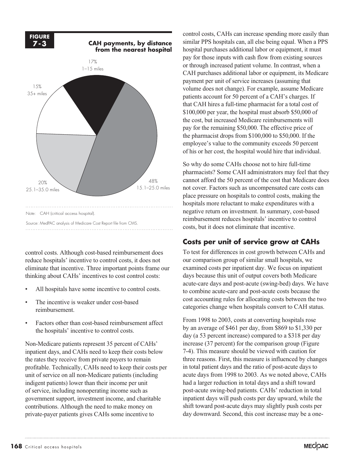

control costs. Although cost-based reimbursement does reduce hospitals' incentive to control costs, it does not eliminate that incentive. Three important points frame our thinking about CAHs' incentives to cost control costs:

- All hospitals have some incentive to control costs.
- The incentive is weaker under cost-based reimbursement.
- Factors other than cost-based reimbursement affect the hospitals' incentive to control costs.

Non-Medicare patients represent 35 percent of CAHs' inpatient days, and CAHs need to keep their costs below the rates they receive from private payers to remain profitable. Technically, CAHs need to keep their costs per unit of service on all non-Medicare patients (including indigent patients) lower than their income per unit of service, including nonoperating income such as government support, investment income, and charitable contributions. Although the need to make money on private-payer patients gives CAHs some incentive to

control costs, CAHs can increase spending more easily than similar PPS hospitals can, all else being equal. When a PPS hospital purchases additional labor or equipment, it must pay for those inputs with cash flow from existing sources or through increased patient volume. In contrast, when a CAH purchases additional labor or equipment, its Medicare payment per unit of service increases (assuming that volume does not change). For example, assume Medicare patients account for 50 percent of a CAH's charges. If that CAH hires a full-time pharmacist for a total cost of \$100,000 per year, the hospital must absorb \$50,000 of the cost, but increased Medicare reimbursements will pay for the remaining \$50,000. The effective price of the pharmacist drops from \$100,000 to \$50,000. If the employee's value to the community exceeds 50 percent of his or her cost, the hospital would hire that individual.

So why do some CAHs choose not to hire full-time pharmacists? Some CAH administrators may feel that they cannot afford the 50 percent of the cost that Medicare does not cover. Factors such as uncompensated care costs can place pressure on hospitals to control costs, making the hospitals more reluctant to make expenditures with a negative return on investment. In summary, cost-based reimbursement reduces hospitals' incentive to control costs, but it does not eliminate that incentive.

## **Costs per unit of service grow at CAHs**

To test for differences in cost growth between CAHs and our comparison group of similar small hospitals, we examined costs per inpatient day. We focus on inpatient days because this unit of output covers both Medicare acute-care days and post-acute (swing-bed) days. We have to combine acute-care and post-acute costs because the cost accounting rules for allocating costs between the two categories change when hospitals convert to CAH status.

From 1998 to 2003, costs at converting hospitals rose by an average of \$461 per day, from \$869 to \$1,330 per day (a 53 percent increase) compared to a \$318 per day increase (37 percent) for the comparison group (Figure 7-4). This measure should be viewed with caution for three reasons. First, this measure is influenced by changes in total patient days and the ratio of post-acute days to acute days from 1998 to 2003. As we noted above, CAHs had a larger reduction in total days and a shift toward post-acute swing-bed patients. CAHs' reduction in total inpatient days will push costs per day upward, while the shift toward post-acute days may slightly push costs per day downward. Second, this cost increase may be a one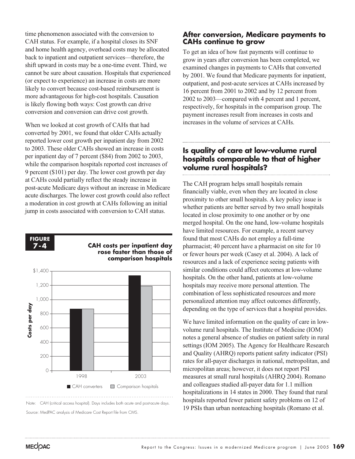time phenomenon associated with the conversion to CAH status. For example, if a hospital closes its SNF and home health agency, overhead costs may be allocated back to inpatient and outpatient services—therefore, the shift upward in costs may be a one-time event. Third, we cannot be sure about causation. Hospitals that experienced (or expect to experience) an increase in costs are more likely to convert because cost-based reimbursement is more advantageous for high-cost hospitals. Causation is likely flowing both ways: Cost growth can drive conversion and conversion can drive cost growth.

When we looked at cost growth of CAHs that had converted by 2001, we found that older CAHs actually reported lower cost growth per inpatient day from 2002 to 2003. These older CAHs showed an increase in costs per inpatient day of 7 percent (\$84) from 2002 to 2003, while the comparison hospitals reported cost increases of 9 percent (\$101) per day. The lower cost growth per day at CAHs could partially reflect the steady increase in post-acute Medicare days without an increase in Medicare acute discharges. The lower cost growth could also reflect a moderation in cost growth at CAHs following an initial jump in costs associated with conversion to CAH status.





#### **After conversion, Medicare payments to CAHs continue to grow**

To get an idea of how fast payments will continue to grow in years after conversion has been completed, we examined changes in payments to CAHs that converted by 2001. We found that Medicare payments for inpatient, outpatient, and post-acute services at CAHs increased by 16 percent from 2001 to 2002 and by 12 percent from 2002 to 2003—compared with 4 percent and 1 percent, respectively, for hospitals in the comparison group. The payment increases result from increases in costs and increases in the volume of services at CAHs.

## **Is quality of care at low-volume rural hospitals comparable to that of higher volume rural hospitals?**

The CAH program helps small hospitals remain financially viable, even when they are located in close proximity to other small hospitals. A key policy issue is whether patients are better served by two small hospitals located in close proximity to one another or by one merged hospital. On the one hand, low-volume hospitals have limited resources. For example, a recent survey found that most CAHs do not employ a full-time pharmacist; 40 percent have a pharmacist on site for 10 or fewer hours per week (Casey et al. 2004). A lack of resources and a lack of experience seeing patients with similar conditions could affect outcomes at low-volume hospitals. On the other hand, patients at low-volume hospitals may receive more personal attention. The combination of less sophisticated resources and more personalized attention may affect outcomes differently, depending on the type of services that a hospital provides.

We have limited information on the quality of care in lowvolume rural hospitals. The Institute of Medicine (IOM) notes a general absence of studies on patient safety in rural settings (IOM 2005). The Agency for Healthcare Research and Quality (AHRQ) reports patient safety indicator (PSI) rates for all-payer discharges in national, metropolitan, and micropolitan areas; however, it does not report PSI measures at small rural hospitals (AHRQ 2004). Romano and colleagues studied all-payer data for 1.1 million hospitalizations in 14 states in 2000. They found that rural hospitals reported fewer patient safety problems on 12 of 19 PSIs than urban nonteaching hospitals (Romano et al.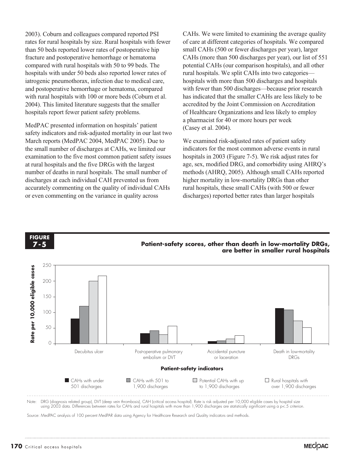2003). Coburn and colleagues compared reported PSI rates for rural hospitals by size. Rural hospitals with fewer than 50 beds reported lower rates of postoperative hip fracture and postoperative hemorrhage or hematoma compared with rural hospitals with 50 to 99 beds. The hospitals with under 50 beds also reported lower rates of iatrogenic pneumothorax, infection due to medical care, and postoperative hemorrhage or hematoma, compared with rural hospitals with 100 or more beds (Coburn et al. 2004). This limited literature suggests that the smaller hospitals report fewer patient safety problems.

MedPAC presented information on hospitals' patient safety indicators and risk-adjusted mortality in our last two March reports (MedPAC 2004, MedPAC 2005). Due to the small number of discharges at CAHs, we limited our examination to the five most common patient safety issues at rural hospitals and the five DRGs with the largest number of deaths in rural hospitals. The small number of discharges at each individual CAH prevented us from accurately commenting on the quality of individual CAHs or even commenting on the variance in quality across

CAHs. We were limited to examining the average quality of care at different categories of hospitals. We compared small CAHs (500 or fewer discharges per year), larger CAHs (more than 500 discharges per year), our list of 551 potential CAHs (our comparison hospitals), and all other rural hospitals. We split CAHs into two categories hospitals with more than 500 discharges and hospitals with fewer than 500 discharges—because prior research has indicated that the smaller CAHs are less likely to be accredited by the Joint Commission on Accreditation of Healthcare Organizations and less likely to employ a pharmacist for 40 or more hours per week (Casey et al. 2004).

We examined risk-adjusted rates of patient safety indicators for the most common adverse events in rural hospitals in 2003 (Figure 7-5). We risk adjust rates for age, sex, modified DRG, and comorbidity using AHRQ's methods (AHRQ, 2005). Although small CAHs reported higher mortality in low-mortality DRGs than other rural hospitals, these small CAHs (with 500 or fewer discharges) reported better rates than larger hospitals

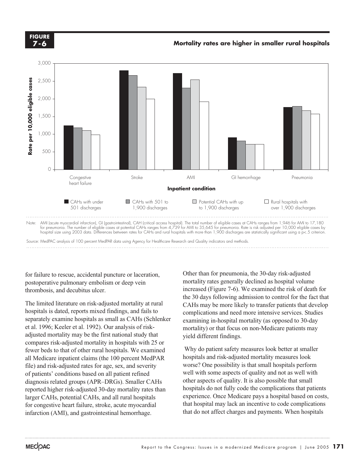**FIGURE 7-6**



for failure to rescue, accidental puncture or laceration, postoperative pulmonary embolism or deep vein thrombosis, and decubitus ulcer.

The limited literature on risk-adjusted mortality at rural hospitals is dated, reports mixed findings, and fails to separately examine hospitals as small as CAHs (Schlenker et al. 1996; Keeler et al. 1992). Our analysis of riskadjusted mortality may be the first national study that compares risk-adjusted mortality in hospitals with 25 or fewer beds to that of other rural hospitals. We examined all Medicare inpatient claims (the 100 percent MedPAR file) and risk-adjusted rates for age, sex, and severity of patients' conditions based on all patient refined diagnosis related groups (APR–DRGs). Smaller CAHs reported higher risk-adjusted 30-day mortality rates than larger CAHs, potential CAHs, and all rural hospitals for congestive heart failure, stroke, acute myocardial infarction (AMI), and gastrointestinal hemorrhage.

Other than for pneumonia, the 30-day risk-adjusted mortality rates generally declined as hospital volume increased (Figure 7-6). We examined the risk of death for the 30 days following admission to control for the fact that CAHs may be more likely to transfer patients that develop complications and need more intensive services. Studies examining in-hospital mortality (as opposed to 30-day mortality) or that focus on non-Medicare patients may yield different findings.

Why do patient safety measures look better at smaller hospitals and risk-adjusted mortality measures look worse? One possibility is that small hospitals perform well with some aspects of quality and not as well with other aspects of quality. It is also possible that small hospitals do not fully code the complications that patients experience. Once Medicare pays a hospital based on costs, that hospital may lack an incentive to code complications that do not affect charges and payments. When hospitals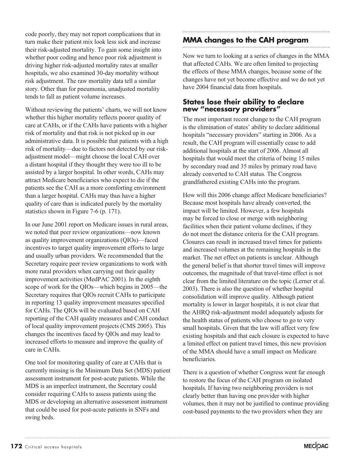code poorly, they may not report complications that in turn make their patient mix look less sick and increase their risk-adjusted mortality. To gain some insight into whether poor coding and hence poor risk adjustment is driving higher risk-adjusted mortality rates at smaller hospitals, we also examined 30-day mortality without risk adjustment. The raw mortality data tell a similar story. Other than for pneumonia, unadjusted mortality tends to fall as patient volume increases.

Without reviewing the patients' charts, we will not know whether this higher mortality reflects poorer quality of care at CAHs, or if the CAHs have patients with a higher risk of mortality and that risk is not picked up in our administrative data. It is possible that patients with a high risk of mortality—due to factors not detected by our riskadjustment model—might choose the local CAH over a distant hospital if they thought they were too ill to be assisted by a larger hospital. In other words, CAHs may attract Medicare beneficiaries who expect to die if the patients see the CAH as a more comforting environment than a larger hospital. CAHs may thus have a higher quality of care than is indicated purely by the mortality statistics shown in Figure 7-6 (p. 171).

In our June 2001 report on Medicare issues in rural areas, we noted that peer review organizations—now known as quality improvement organizations (QIOs)—faced incentives to target quality improvement efforts to large and usually urban providers. We recommended that the Secretary require peer review organizations to work with more rural providers when carrying out their quality improvement activities (MedPAC 2001). In the eighth scope of work for the QIOs—which begins in 2005—the Secretary requires that QIOs recruit CAHs to participate in reporting 13 quality improvement measures specified for CAHs. The QIOs will be evaluated based on CAH reporting of the CAH quality measures and CAH conduct of local quality improvement projects (CMS 2005). This changes the incentives faced by QIOs and may lead to increased efforts to measure and improve the quality of care in CAHs.

One tool for monitoring quality of care at CAHs that is currently missing is the Minimum Data Set (MDS) patient assessment instrument for post-acute patients. While the MDS is an imperfect instrument, the Secretary could consider requiring CAHs to assess patients using the MDS or developing an alternative assessment instrument that could be used for post-acute patients in SNFs and swing beds.

## **MMA changes to the CAH program**

Now we turn to looking at a series of changes in the MMA that affected CAHs. We are often limited to projecting the effects of these MMA changes, because some of the changes have not yet become effective and we do not yet have 2004 financial data from hospitals.

#### **States lose their ability to declare new "necessary providers"**

The most important recent change to the CAH program is the elimination of states' ability to declare additional hospitals "necessary providers" starting in 2006. As a result, the CAH program will essentially cease to add additional hospitals at the start of 2006. Almost all hospitals that would meet the criteria of being 15 miles by secondary road and 35 miles by primary road have already converted to CAH status. The Congress grandfathered existing CAHs into the program.

How will this 2006 change affect Medicare beneficiaries? Because most hospitals have already converted, the impact will be limited. However, a few hospitals may be forced to close or merge with neighboring facilities when their patient volume declines, if they do not meet the distance criteria for the CAH program. Closures can result in increased travel times for patients and increased volumes at the remaining hospitals in the market. The net effect on patients is unclear. Although the general belief is that shorter travel times will improve outcomes, the magnitude of that travel-time effect is not clear from the limited literature on the topic (Lerner et al. 2003). There is also the question of whether hospital consolidation will improve quality. Although patient mortality is lower in larger hospitals, it is not clear that the AHRQ risk-adjustment model adequately adjusts for the health status of patients who choose to go to very small hospitals. Given that the law will affect very few existing hospitals and that each closure is expected to have a limited effect on patient travel times, this new provision of the MMA should have a small impact on Medicare beneficiaries.

There is a question of whether Congress went far enough to restore the focus of the CAH program on isolated hospitals. If having two neighboring providers is not clearly better than having one provider with higher volumes, then it may not be justified to continue providing cost-based payments to the two providers when they are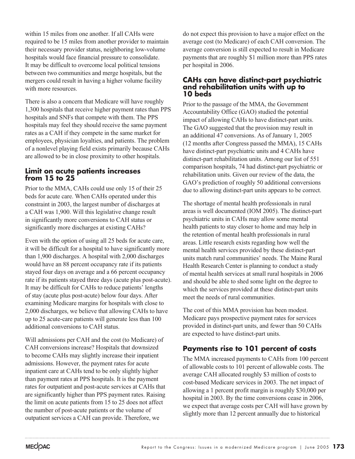within 15 miles from one another. If all CAHs were required to be 15 miles from another provider to maintain their necessary provider status, neighboring low-volume hospitals would face financial pressure to consolidate. It may be difficult to overcome local political tensions between two communities and merge hospitals, but the mergers could result in having a higher volume facility with more resources.

There is also a concern that Medicare will have roughly 1,300 hospitals that receive higher payment rates than PPS hospitals and SNFs that compete with them. The PPS hospitals may feel they should receive the same payment rates as a CAH if they compete in the same market for employees, physician loyalties, and patients. The problem of a nonlevel playing field exists primarily because CAHs are allowed to be in close proximity to other hospitals.

### **Limit on acute patients increases from 15 to 25**

Prior to the MMA, CAHs could use only 15 of their 25 beds for acute care. When CAHs operated under this constraint in 2003, the largest number of discharges at a CAH was 1,900. Will this legislative change result in significantly more conversions to CAH status or significantly more discharges at existing CAHs?

Even with the option of using all 25 beds for acute care, it will be difficult for a hospital to have significantly more than 1,900 discharges. A hospital with 2,000 discharges would have an 88 percent occupancy rate if its patients stayed four days on average and a 66 percent occupancy rate if its patients stayed three days (acute plus post-acute). It may be difficult for CAHs to reduce patients' lengths of stay (acute plus post-acute) below four days. After examining Medicare margins for hospitals with close to 2,000 discharges, we believe that allowing CAHs to have up to 25 acute-care patients will generate less than 100 additional conversions to CAH status.

Will admissions per CAH and the cost (to Medicare) of CAH conversions increase? Hospitals that downsized to become CAHs may slightly increase their inpatient admissions. However, the payment rates for acute inpatient care at CAHs tend to be only slightly higher than payment rates at PPS hospitals. It is the payment rates for outpatient and post-acute services at CAHs that are significantly higher than PPS payment rates. Raising the limit on acute patients from 15 to 25 does not affect the number of post-acute patients or the volume of outpatient services a CAH can provide. Therefore, we

do not expect this provision to have a major effect on the average cost (to Medicare) of each CAH conversion. The average conversion is still expected to result in Medicare payments that are roughly \$1 million more than PPS rates per hospital in 2006.

#### **CAHs can have distinct-part psychiatric and rehabilitation units with up to 10 beds**

Prior to the passage of the MMA, the Government Accountability Office (GAO) studied the potential impact of allowing CAHs to have distinct-part units. The GAO suggested that the provision may result in an additional 47 conversions. As of January 1, 2005 (12 months after Congress passed the MMA), 15 CAHs have distinct-part psychiatric units and 4 CAHs have distinct-part rehabilitation units. Among our list of 551 comparison hospitals, 74 had distinct-part psychiatric or rehabilitation units. Given our review of the data, the GAO's prediction of roughly 50 additional conversions due to allowing distinct-part units appears to be correct.

The shortage of mental health professionals in rural areas is well documented (IOM 2005). The distinct-part psychiatric units in CAHs may allow some mental health patients to stay closer to home and may help in the retention of mental health professionals in rural areas. Little research exists regarding how well the mental health services provided by these distinct-part units match rural communities' needs. The Maine Rural Health Research Center is planning to conduct a study of mental health services at small rural hospitals in 2006 and should be able to shed some light on the degree to which the services provided at these distinct-part units meet the needs of rural communities.

The cost of this MMA provision has been modest. Medicare pays prospective payment rates for services provided in distinct-part units, and fewer than 50 CAHs are expected to have distinct-part units.

## **Payments rise to 101 percent of costs**

The MMA increased payments to CAHs from 100 percent of allowable costs to 101 percent of allowable costs. The average CAH allocated roughly \$3 million of costs to cost-based Medicare services in 2003. The net impact of allowing a 1 percent profit margin is roughly \$30,000 per hospital in 2003. By the time conversions cease in 2006, we expect that average costs per CAH will have grown by slightly more than 12 percent annually due to historical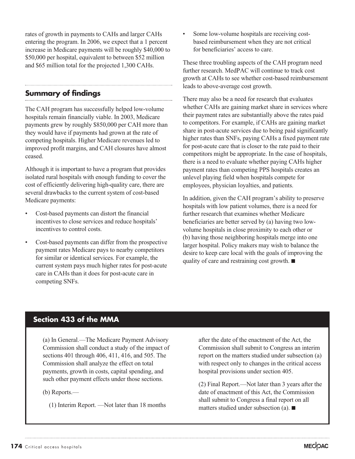rates of growth in payments to CAHs and larger CAHs entering the program. In 2006, we expect that a 1 percent increase in Medicare payments will be roughly \$40,000 to \$50,000 per hospital, equivalent to between \$52 million and \$65 million total for the projected 1,300 CAHs.

## **Summary of findings**

The CAH program has successfully helped low-volume hospitals remain financially viable. In 2003, Medicare payments grew by roughly \$850,000 per CAH more than they would have if payments had grown at the rate of competing hospitals. Higher Medicare revenues led to improved profit margins, and CAH closures have almost ceased.

Although it is important to have a program that provides isolated rural hospitals with enough funding to cover the cost of efficiently delivering high-quality care, there are several drawbacks to the current system of cost-based Medicare payments:

- Cost-based payments can distort the financial incentives to close services and reduce hospitals' incentives to control costs.
- Cost-based payments can differ from the prospective payment rates Medicare pays to nearby competitors for similar or identical services. For example, the current system pays much higher rates for post-acute care in CAHs than it does for post-acute care in competing SNFs.

Some low-volume hospitals are receiving costbased reimbursement when they are not critical for beneficiaries' access to care.

These three troubling aspects of the CAH program need further research. MedPAC will continue to track cost growth at CAHs to see whether cost-based reimbursement leads to above-average cost growth.

There may also be a need for research that evaluates whether CAHs are gaining market share in services where their payment rates are substantially above the rates paid to competitors. For example, if CAHs are gaining market share in post-acute services due to being paid significantly higher rates than SNFs, paying CAHs a fixed payment rate for post-acute care that is closer to the rate paid to their competitors might be appropriate. In the case of hospitals, there is a need to evaluate whether paying CAHs higher payment rates than competing PPS hospitals creates an unlevel playing field when hospitals compete for employees, physician loyalties, and patients.

In addition, given the CAH program's ability to preserve hospitals with low patient volumes, there is a need for further research that examines whether Medicare beneficiaries are better served by (a) having two lowvolume hospitals in close proximity to each other or (b) having those neighboring hospitals merge into one larger hospital. Policy makers may wish to balance the desire to keep care local with the goals of improving the quality of care and restraining cost growth.  $\blacksquare$ 

## **Section 433 of the MMA**

(a) In General.—The Medicare Payment Advisory Commission shall conduct a study of the impact of sections 401 through 406, 411, 416, and 505. The Commission shall analyze the effect on total payments, growth in costs, capital spending, and such other payment effects under those sections.

(b) Reports.—

(1) Interim Report. —Not later than 18 months

after the date of the enactment of the Act, the Commission shall submit to Congress an interim report on the matters studied under subsection (a) with respect only to changes in the critical access hospital provisions under section 405.

(2) Final Report.—Not later than 3 years after the date of enactment of this Act, the Commission shall submit to Congress a final report on all matters studied under subsection (a).  $\blacksquare$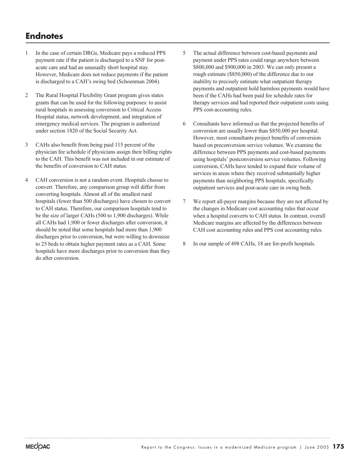# **Endnotes**

- 1 In the case of certain DRGs, Medicare pays a reduced PPS payment rate if the patient is discharged to a SNF for postacute care and had an unusually short hospital stay. However, Medicare does not reduce payments if the patient is discharged to a CAH's swing bed (Schoenman 2004).
- 2 The Rural Hospital Flexibility Grant program gives states grants that can be used for the following purposes: to assist rural hospitals in assessing conversion to Critical Access Hospital status, network development, and integration of emergency medical services. The program is authorized under section 1820 of the Social Security Act.
- 3 CAHs also benefit from being paid 115 percent of the physician fee schedule if physicians assign their billing rights to the CAH. This benefit was not included in our estimate of the benefits of conversion to CAH status.
- 4 CAH conversion is not a random event. Hospitals choose to convert. Therefore, any comparison group will differ from converting hospitals. Almost all of the smallest rural hospitals (fewer than 500 discharges) have chosen to convert to CAH status. Therefore, our comparison hospitals tend to be the size of larger CAHs (500 to 1,900 discharges). While all CAHs had 1,900 or fewer discharges after conversion, it should be noted that some hospitals had more than 1,900 discharges prior to conversion, but were willing to downsize to 25 beds to obtain higher payment rates as a CAH. Some hospitals have more discharges prior to conversion than they do after conversion.
- 5 The actual difference between cost-based payments and payment under PPS rates could range anywhere between \$800,000 and \$900,000 in 2003. We can only present a rough estimate (\$850,000) of the difference due to our inability to precisely estimate what outpatient therapy payments and outpatient hold harmless payments would have been if the CAHs had been paid fee schedule rates for therapy services and had reported their outpatient costs using PPS cost-accounting rules.
- 6 Consultants have informed us that the projected benefits of conversion are usually lower than \$850,000 per hospital. However, most consultants project benefits of conversion based on preconversion service volumes. We examine the difference between PPS payments and cost-based payments using hospitals' postconversion service volumes. Following conversion, CAHs have tended to expand their volume of services in areas where they received substantially higher payments than neighboring PPS hospitals, specifically outpatient services and post-acute care in swing beds.
- 7 We report all-payer margins because they are not affected by the changes in Medicare cost accounting rules that occur when a hospital converts to CAH status. In contrast, overall Medicare margins are affected by the differences between CAH cost accounting rules and PPS cost accounting rules.
- 8 In our sample of 498 CAHs, 18 are for-profit hospitals.